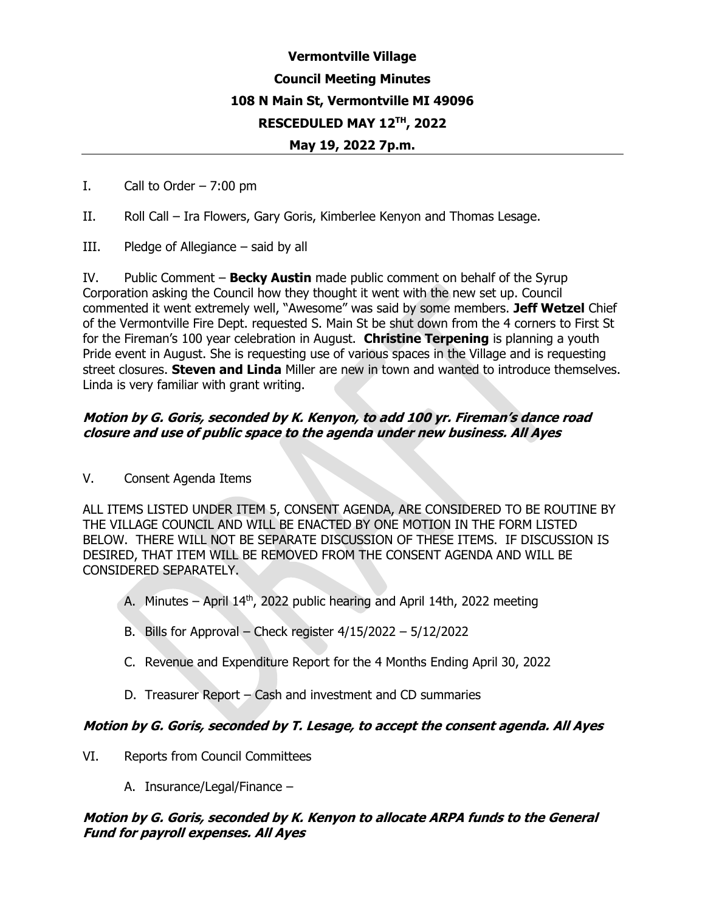# **Vermontville Village Council Meeting Minutes 108 N Main St, Vermontville MI 49096 RESCEDULED MAY 12TH, 2022**

#### **May 19, 2022 7p.m.**

- I. Call to Order  $-7:00 \text{ pm}$
- II. Roll Call Ira Flowers, Gary Goris, Kimberlee Kenyon and Thomas Lesage.
- III. Pledge of Allegiance said by all

IV. Public Comment – **Becky Austin** made public comment on behalf of the Syrup Corporation asking the Council how they thought it went with the new set up. Council commented it went extremely well, "Awesome" was said by some members. **Jeff Wetzel** Chief of the Vermontville Fire Dept. requested S. Main St be shut down from the 4 corners to First St for the Fireman's 100 year celebration in August. **Christine Terpening** is planning a youth Pride event in August. She is requesting use of various spaces in the Village and is requesting street closures. **Steven and Linda** Miller are new in town and wanted to introduce themselves. Linda is very familiar with grant writing.

#### **Motion by G. Goris, seconded by K. Kenyon, to add 100 yr. Fireman's dance road closure and use of public space to the agenda under new business. All Ayes**

V. Consent Agenda Items

ALL ITEMS LISTED UNDER ITEM 5, CONSENT AGENDA, ARE CONSIDERED TO BE ROUTINE BY THE VILLAGE COUNCIL AND WILL BE ENACTED BY ONE MOTION IN THE FORM LISTED BELOW. THERE WILL NOT BE SEPARATE DISCUSSION OF THESE ITEMS. IF DISCUSSION IS DESIRED, THAT ITEM WILL BE REMOVED FROM THE CONSENT AGENDA AND WILL BE CONSIDERED SEPARATELY.

- A. Minutes April  $14<sup>th</sup>$ , 2022 public hearing and April 14th, 2022 meeting
- B. Bills for Approval Check register 4/15/2022 5/12/2022
- C. Revenue and Expenditure Report for the 4 Months Ending April 30, 2022
- D. Treasurer Report Cash and investment and CD summaries

#### **Motion by G. Goris, seconded by T. Lesage, to accept the consent agenda. All Ayes**

- VI. Reports from Council Committees
	- A. Insurance/Legal/Finance –

#### **Motion by G. Goris, seconded by K. Kenyon to allocate ARPA funds to the General Fund for payroll expenses. All Ayes**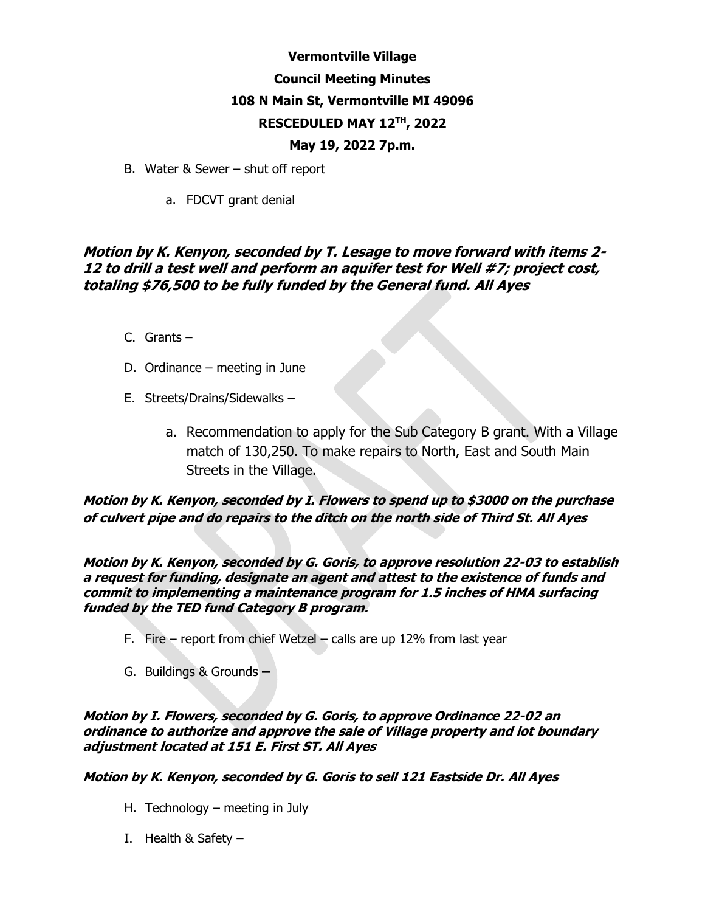# **Vermontville Village Council Meeting Minutes 108 N Main St, Vermontville MI 49096 RESCEDULED MAY 12TH, 2022**

#### **May 19, 2022 7p.m.**

- B. Water & Sewer shut off report
	- a. FDCVT grant denial

### **Motion by K. Kenyon, seconded by T. Lesage to move forward with items 2- 12 to drill a test well and perform an aquifer test for Well #7; project cost, totaling \$76,500 to be fully funded by the General fund. All Ayes**

- C. Grants –
- D. Ordinance meeting in June
- E. Streets/Drains/Sidewalks
	- a. Recommendation to apply for the Sub Category B grant. With a Village match of 130,250. To make repairs to North, East and South Main Streets in the Village.

**Motion by K. Kenyon, seconded by I. Flowers to spend up to \$3000 on the purchase of culvert pipe and do repairs to the ditch on the north side of Third St. All Ayes**

**Motion by K. Kenyon, seconded by G. Goris, to approve resolution 22-03 to establish <sup>a</sup> request for funding, designate an agent and attest to the existence of funds and commit to implementing a maintenance program for 1.5 inches of HMA surfacing funded by the TED fund Category B program.** 

- F. Fire report from chief Wetzel calls are up 12% from last year
- G. Buildings & Grounds **–**

**Motion by I. Flowers, seconded by G. Goris, to approve Ordinance 22-02 an ordinance to authorize and approve the sale of Village property and lot boundary adjustment located at 151 E. First ST. All Ayes**

**Motion by K. Kenyon, seconded by G. Goris to sell 121 Eastside Dr. All Ayes**

- H. Technology meeting in July
- I. Health & Safety –